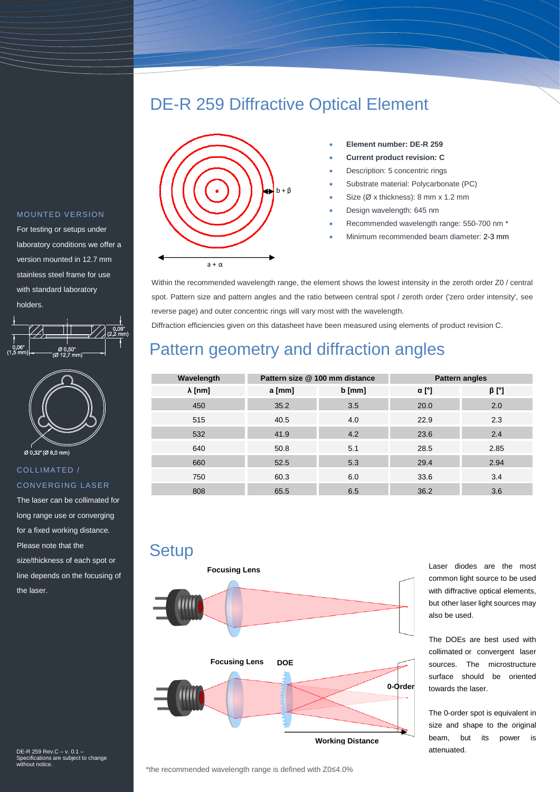## DE-R 259 Diffractive Optical Element



- **Element number: DE-R 259**
- **Current product revision: C**
- Description: 5 concentric rings
- Substrate material: Polycarbonate (PC)
- Size (Ø x thickness): 8 mm x 1.2 mm
- Design wavelength: 645 nm
- Recommended wavelength range: 550-700 nm \*
- Minimum recommended beam diameter: 2-3 mm

Within the recommended wavelength range, the element shows the lowest intensity in the zeroth order Z0 / central spot. Pattern size and pattern angles and the ratio between central spot / zeroth order ('zero order intensity', see reverse page) and outer concentric rings will vary most with the wavelength.

Diffraction efficiencies given on this datasheet have been measured using elements of product revision C.

## Pattern geometry and diffraction angles

| Wavelength     | Pattern size @ 100 mm distance |          | <b>Pattern angles</b> |             |
|----------------|--------------------------------|----------|-----------------------|-------------|
| $\lambda$ [nm] | a [mm]                         | $b$ [mm] | $\alpha$ [°]          | $\beta$ [°] |
| 450            | 35.2                           | 3.5      | 20.0                  | 2.0         |
| 515            | 40.5                           | 4.0      | 22.9                  | 2.3         |
| 532            | 41.9                           | 4.2      | 23.6                  | 2.4         |
| 640            | 50.8                           | 5.1      | 28.5                  | 2.85        |
| 660            | 52.5                           | 5.3      | 29.4                  | 2.94        |
| 750            | 60.3                           | 6.0      | 33.6                  | 3.4         |
| 808            | 65.5                           | 6.5      | 36.2                  | 3.6         |

**Setup** 



Laser diodes are the most common light source to be used with diffractive optical elements, but other laser light sources may also be used.

The DOEs are best used with collimated or convergent laser sources. The microstructure surface should be oriented towards the laser.

The 0-order spot is equivalent in size and shape to the original beam, but its power is attenuated.

### MOUNTED VERSION

For testing or setups under laboratory conditions we offer a version mounted in 12.7 mm stainless steel frame for use with standard laboratory holders.





#### COLLIMATED / **CONVERGING LASER**

The laser can be collimated for long range use or converging for a fixed working distance. Please note that the size/thickness of each spot or line depends on the focusing of the laser.

DE-R 259 Rev.C – v. 0.1 – Specifications are subject to change without notice.

\*the recommended wavelength range is defined with Z0≤4.0%